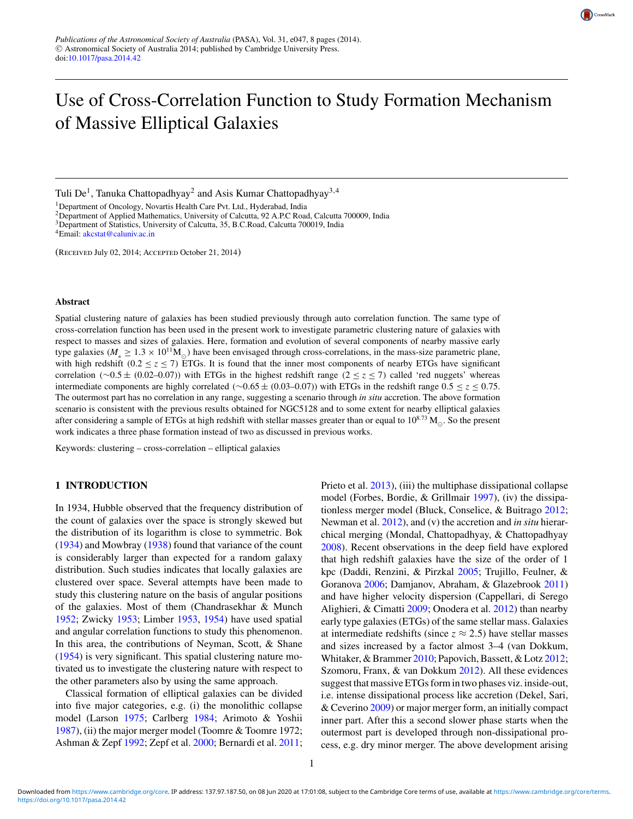

# Use of Cross-Correlation Function to Study Formation Mechanism of Massive Elliptical Galaxies

Tuli De<sup>1</sup>, Tanuka Chattopadhyay<sup>2</sup> and Asis Kumar Chattopadhyay<sup>3,4</sup>

<sup>1</sup>Department of Oncology, Novartis Health Care Pvt. Ltd., Hyderabad, India

<sup>2</sup>Department of Applied Mathematics, University of Calcutta, 92 A.P.C Road, Calcutta 700009, India

<sup>3</sup>Department of Statistics, University of Calcutta, 35, B.C.Road, Calcutta 700019, India

(Received July 02, 2014; Accepted October 21, 2014)

#### **Abstract**

Spatial clustering nature of galaxies has been studied previously through auto correlation function. The same type of cross-correlation function has been used in the present work to investigate parametric clustering nature of galaxies with respect to masses and sizes of galaxies. Here, formation and evolution of several components of nearby massive early type galaxies ( $M_* \ge 1.3 \times 10^{11} M_{\odot}$ ) have been envisaged through cross-correlations, in the mass-size parametric plane, with high redshift (0.2  $\leq$  *z*  $\leq$  7) ETGs. It is found that the inner most components of nearby ETGs have significant correlation (∼0.5 ± (0.02–0.07)) with ETGs in the highest redshift range (2 ≤ *z* ≤ 7) called 'red nuggets' whereas intermediate components are highly correlated (∼0.65 ± (0.03–0.07)) with ETGs in the redshift range 0.5 ≤ *z* ≤ 0.75. The outermost part has no correlation in any range, suggesting a scenario through *in situ* accretion. The above formation scenario is consistent with the previous results obtained for NGC5128 and to some extent for nearby elliptical galaxies after considering a sample of ETGs at high redshift with stellar masses greater than or equal to  $10^{8.73}$  M<sub> $\odot$ </sub>. So the present work indicates a three phase formation instead of two as discussed in previous works.

Keywords: clustering – cross-correlation – elliptical galaxies

## **1 INTRODUCTION**

In 1934, Hubble observed that the frequency distribution of the count of galaxies over the space is strongly skewed but the distribution of its logarithm is close to symmetric. Bok [\(1934\)](#page-6-0) and Mowbray [\(1938\)](#page-7-0) found that variance of the count is considerably larger than expected for a random galaxy distribution. Such studies indicates that locally galaxies are clustered over space. Several attempts have been made to study this clustering nature on the basis of angular positions of the galaxies. Most of them (Chandrasekhar & Munch [1952;](#page-6-0) Zwicky [1953;](#page-7-0) Limber [1953,](#page-7-0) [1954\)](#page-7-0) have used spatial and angular correlation functions to study this phenomenon. In this area, the contributions of Neyman, Scott, & Shane [\(1954\)](#page-7-0) is very significant. This spatial clustering nature motivated us to investigate the clustering nature with respect to the other parameters also by using the same approach.

Classical formation of elliptical galaxies can be divided into five major categories, e.g. (i) the monolithic collapse model (Larson [1975;](#page-7-0) Carlberg [1984;](#page-6-0) Arimoto & Yoshii [1987\)](#page-6-0), (ii) the major merger model (Toomre & Toomre 1972; Ashman & Zepf [1992;](#page-6-0) Zepf et al. [2000;](#page-7-0) Bernardi et al. [2011;](#page-6-0) Prieto et al. [2013\)](#page-7-0), (iii) the multiphase dissipational collapse model (Forbes, Bordie, & Grillmair [1997\)](#page-6-0), (iv) the dissipationless merger model (Bluck, Conselice, & Buitrago [2012;](#page-6-0) Newman et al. [2012\)](#page-7-0), and (v) the accretion and *in situ* hierarchical merging (Mondal, Chattopadhyay, & Chattopadhyay [2008\)](#page-7-0). Recent observations in the deep field have explored that high redshift galaxies have the size of the order of 1 kpc (Daddi, Renzini, & Pirzkal [2005;](#page-6-0) Trujillo, Feulner, & Goranova [2006;](#page-7-0) Damjanov, Abraham, & Glazebrook [2011\)](#page-6-0) and have higher velocity dispersion (Cappellari, di Serego Alighieri, & Cimatti [2009;](#page-6-0) Onodera et al. [2012\)](#page-7-0) than nearby early type galaxies (ETGs) of the same stellar mass. Galaxies at intermediate redshifts (since  $z \approx 2.5$ ) have stellar masses and sizes increased by a factor almost 3–4 (van Dokkum, Whitaker, & Brammer [2010;](#page-7-0) Papovich, Bassett, & Lotz [2012;](#page-7-0) Szomoru, Franx, & van Dokkum [2012\)](#page-7-0). All these evidences suggest that massive ETGs form in two phases viz. inside-out, i.e. intense dissipational process like accretion (Dekel, Sari, & Ceverino [2009\)](#page-6-0) or major merger form, an initially compact inner part. After this a second slower phase starts when the outermost part is developed through non-dissipational process, e.g. dry minor merger. The above development arising

<sup>&</sup>lt;sup>4</sup>Email: [akcstat@caluniv.ac.in](mailto:akcstat@caluniv.ac.in)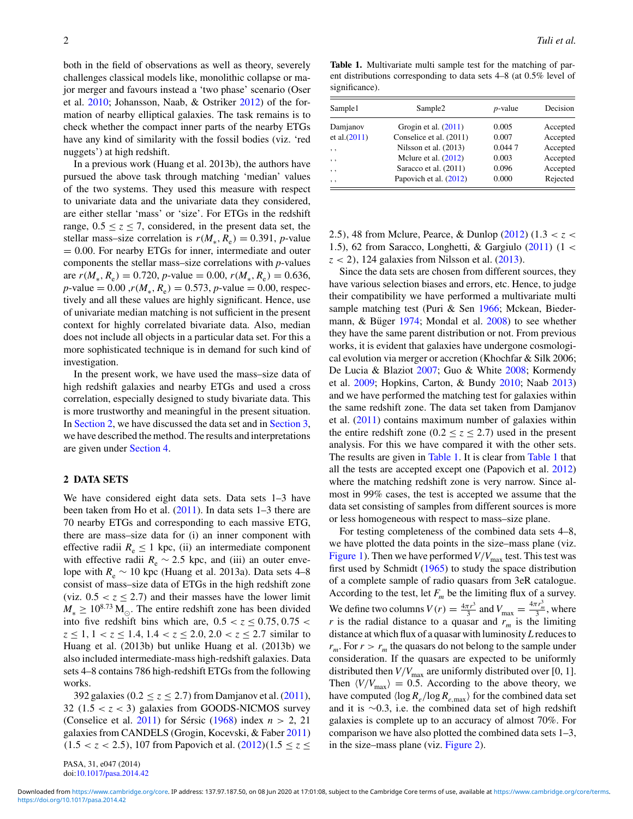both in the field of observations as well as theory, severely challenges classical models like, monolithic collapse or major merger and favours instead a 'two phase' scenario (Oser et al. [2010;](#page-7-0) Johansson, Naab, & Ostriker [2012\)](#page-6-0) of the formation of nearby elliptical galaxies. The task remains is to check whether the compact inner parts of the nearby ETGs have any kind of similarity with the fossil bodies (viz. 'red nuggets') at high redshift.

In a previous work (Huang et al. 2013b), the authors have pursued the above task through matching 'median' values of the two systems. They used this measure with respect to univariate data and the univariate data they considered, are either stellar 'mass' or 'size'. For ETGs in the redshift range,  $0.5 \le z \le 7$ , considered, in the present data set, the stellar mass–size correlation is  $r(M_*, R_e) = 0.391$ , *p*-value  $= 0.00$ . For nearby ETGs for inner, intermediate and outer components the stellar mass–size correlations with *p*-values are  $r(M_* , R_*) = 0.720$ , *p*-value = 0.00,  $r(M_* , R_*) = 0.636$ ,  $p$ -value = 0.00 , $r(M_*, R_e) = 0.573$ ,  $p$ -value = 0.00, respectively and all these values are highly significant. Hence, use of univariate median matching is not sufficient in the present context for highly correlated bivariate data. Also, median does not include all objects in a particular data set. For this a more sophisticated technique is in demand for such kind of investigation.

In the present work, we have used the mass–size data of high redshift galaxies and nearby ETGs and used a cross correlation, especially designed to study bivariate data. This is more trustworthy and meaningful in the present situation. In Section 2, we have discussed the data set and in [Section 3,](#page-3-0) we have described the method. The results and interpretations are given under [Section 4.](#page-4-0)

### **2 DATA SETS**

We have considered eight data sets. Data sets 1–3 have been taken from Ho et al. [\(2011\)](#page-6-0). In data sets 1–3 there are 70 nearby ETGs and corresponding to each massive ETG, there are mass–size data for (i) an inner component with effective radii  $R_e \leq 1$  kpc, (ii) an intermediate component with effective radii  $R_e \sim 2.5$  kpc, and (iii) an outer envelope with  $R_e \sim 10$  kpc (Huang et al. 2013a). Data sets 4–8 consist of mass–size data of ETGs in the high redshift zone (viz.  $0.5 < z \leq 2.7$ ) and their masses have the lower limit  $M_* \geq 10^{8.73}$  M<sub>.</sub> The entire redshift zone has been divided into five redshift bins which are,  $0.5 < z < 0.75$ ,  $0.75 < z < 0.75$  $z \leq 1, 1 < z \leq 1.4, 1.4 < z \leq 2.0, 2.0 < z \leq 2.7$  similar to Huang et al. (2013b) but unlike Huang et al. (2013b) we also included intermediate-mass high-redshift galaxies. Data sets 4–8 contains 786 high-redshift ETGs from the following works.

392 galaxies ( $0.2 < z < 2.7$ ) from Damjanov et al. [\(2011\)](#page-6-0), 32  $(1.5 < z < 3)$  galaxies from GOODS-NICMOS survey (Conselice et al.  $2011$ ) for Sérsic ([1968\)](#page-7-0) index  $n > 2$ , 21 galaxies from CANDELS (Grogin, Kocevski, & Faber [2011\)](#page-6-0)  $(1.5 < z < 2.5)$ , 107 from Papovich et al.  $(2012)(1.5 \le z \le$  $(2012)(1.5 \le z \le$ 

PASA, 31, e047 (2014) doi[:10.1017/pasa.2014.42](http://dx.doi.org/10.1017/pasa.2014.42)

**Table 1.** Multivariate multi sample test for the matching of parent distributions corresponding to data sets 4–8 (at 0.5% level of significance).

| Sample1         | Sample <sub>2</sub>     | $p$ -value | Decision |
|-----------------|-------------------------|------------|----------|
| Damjanov        | Grogin et al. $(2011)$  | 0.005      | Accepted |
| et al. (2011)   | Conselice et al. (2011) | 0.007      | Accepted |
| , ,             | Nilsson et al. (2013)   | 0.0447     | Accepted |
| , ,             | Melure et al. $(2012)$  | 0.003      | Accepted |
| , ,             | Saracco et al. (2011)   | 0.096      | Accepted |
| $, \, \, \cdot$ | Papovich et al. (2012)  | 0.000      | Rejected |

2.5), 48 from Mclure, Pearce, & Dunlop [\(2012\)](#page-7-0) (1.3 < *z* < 1.5), 62 from Saracco, Longhetti, & Gargiulo  $(2011)$  (1 <  $z$  < 2), 124 galaxies from Nilsson et al. [\(2013\)](#page-7-0).

Since the data sets are chosen from different sources, they have various selection biases and errors, etc. Hence, to judge their compatibility we have performed a multivariate multi sample matching test (Puri & Sen [1966;](#page-7-0) Mckean, Biedermann,  $\&$  Büger [1974;](#page-7-0) Mondal et al. [2008\)](#page-7-0) to see whether they have the same parent distribution or not. From previous works, it is evident that galaxies have undergone cosmological evolution via merger or accretion (Khochfar & Silk 2006; De Lucia & Blaziot [2007;](#page-6-0) Guo & White [2008;](#page-6-0) Kormendy et al. [2009;](#page-6-0) Hopkins, Carton, & Bundy [2010;](#page-6-0) Naab [2013\)](#page-7-0) and we have performed the matching test for galaxies within the same redshift zone. The data set taken from Damjanov et al. [\(2011\)](#page-6-0) contains maximum number of galaxies within the entire redshift zone ( $0.2 \le z \le 2.7$ ) used in the present analysis. For this we have compared it with the other sets. The results are given in Table 1. It is clear from Table 1 that all the tests are accepted except one (Papovich et al. [2012\)](#page-7-0) where the matching redshift zone is very narrow. Since almost in 99% cases, the test is accepted we assume that the data set consisting of samples from different sources is more or less homogeneous with respect to mass–size plane.

For testing completeness of the combined data sets 4–8, we have plotted the data points in the size–mass plane (viz. [Figure 1\)](#page-2-0). Then we have performed  $V/V_{\text{max}}$  test. This test was first used by Schmidt [\(1965\)](#page-7-0) to study the space distribution of a complete sample of radio quasars from 3eR catalogue. According to the test, let  $F_m$  be the limiting flux of a survey. We define two columns  $V(r) = \frac{4\pi r^3}{3}$  and  $V_{\text{max}} = \frac{4\pi r_m^3}{3}$ , where *r* is the radial distance to a quasar and  $r_m$  is the limiting distance at which flux of a quasar with luminosity *L* reduces to  $r_m$ . For  $r > r_m$  the quasars do not belong to the sample under consideration. If the quasars are expected to be uniformly distributed then  $V/V_{\text{max}}$  are uniformly distributed over [0, 1]. Then  $\langle V/V_{\text{max}} \rangle = 0.5$ . According to the above theory, we have computed  $\langle \log R_e / \log R_{e, \text{max}} \rangle$  for the combined data set and it is ∼0.3, i.e. the combined data set of high redshift galaxies is complete up to an accuracy of almost 70%. For comparison we have also plotted the combined data sets 1–3, in the size–mass plane (viz. [Figure 2\)](#page-2-0).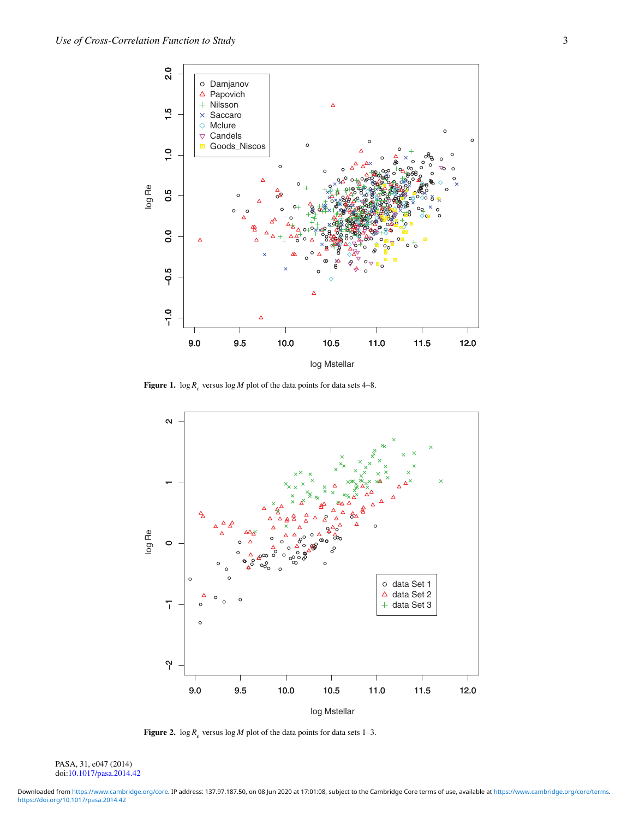<span id="page-2-0"></span>

**Figure 1.**  $\log R_e$  versus  $\log M$  plot of the data points for data sets 4–8.



**Figure 2.**  $\log R_e$  versus  $\log M$  plot of the data points for data sets 1–3.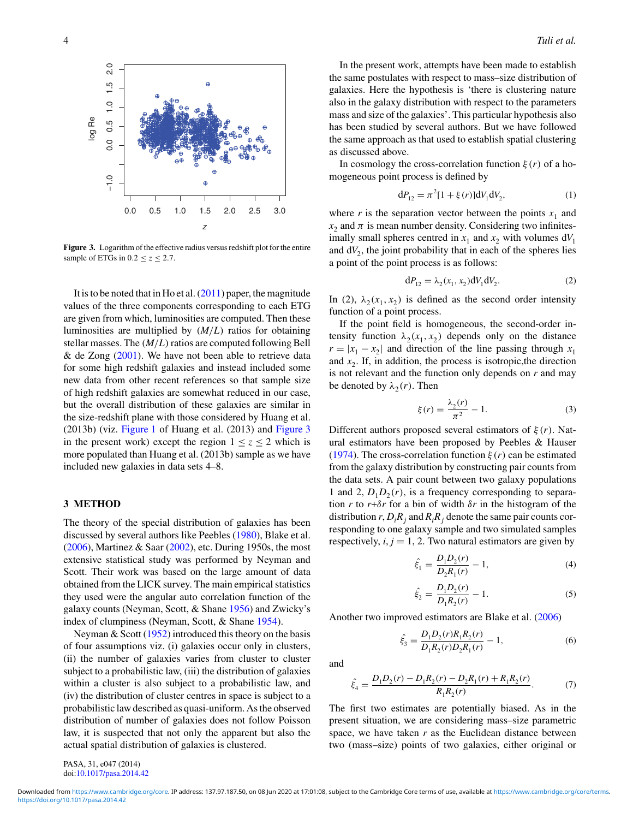<span id="page-3-0"></span>

**Figure 3.** Logarithm of the effective radius versus redshift plot for the entire sample of ETGs in  $0.2 \le z \le 2.7$ .

It is to be noted that in Ho et al. [\(2011\)](#page-6-0) paper, the magnitude values of the three components corresponding to each ETG are given from which, luminosities are computed. Then these luminosities are multiplied by (*M*/*L*) ratios for obtaining stellar masses. The  $(M/L)$  ratios are computed following Bell & de Zong  $(2001)$ . We have not been able to retrieve data for some high redshift galaxies and instead included some new data from other recent references so that sample size of high redshift galaxies are somewhat reduced in our case, but the overall distribution of these galaxies are similar in the size-redshift plane with those considered by Huang et al. (2013b) (viz. [Figure 1](#page-2-0) of Huang et al. (2013) and Figure 3 in the present work) except the region  $1 < z < 2$  which is more populated than Huang et al. (2013b) sample as we have included new galaxies in data sets 4–8.

## **3 METHOD**

The theory of the special distribution of galaxies has been discussed by several authors like Peebles [\(1980\)](#page-7-0), Blake et al.  $(2006)$ , Martinez & Saar  $(2002)$ , etc. During 1950s, the most extensive statistical study was performed by Neyman and Scott. Their work was based on the large amount of data obtained from the LICK survey. The main empirical statistics they used were the angular auto correlation function of the galaxy counts (Neyman, Scott, & Shane [1956\)](#page-7-0) and Zwicky's index of clumpiness (Neyman, Scott, & Shane [1954\)](#page-7-0).

Neyman  $& Scott (1952)$  $& Scott (1952)$  introduced this theory on the basis of four assumptions viz. (i) galaxies occur only in clusters, (ii) the number of galaxies varies from cluster to cluster subject to a probabilistic law, (iii) the distribution of galaxies within a cluster is also subject to a probabilistic law, and (iv) the distribution of cluster centres in space is subject to a probabilistic law described as quasi-uniform. As the observed distribution of number of galaxies does not follow Poisson law, it is suspected that not only the apparent but also the actual spatial distribution of galaxies is clustered.

In the present work, attempts have been made to establish the same postulates with respect to mass–size distribution of galaxies. Here the hypothesis is 'there is clustering nature also in the galaxy distribution with respect to the parameters mass and size of the galaxies'. This particular hypothesis also has been studied by several authors. But we have followed the same approach as that used to establish spatial clustering as discussed above.

In cosmology the cross-correlation function  $\xi(r)$  of a homogeneous point process is defined by

$$
dP_{12} = \pi^2 [1 + \xi(r)] dV_1 dV_2, \qquad (1)
$$

where *r* is the separation vector between the points  $x_1$  and  $x_2$  and  $\pi$  is mean number density. Considering two infinitesimally small spheres centred in  $x_1$  and  $x_2$  with volumes  $dV_1$ and  $dV_2$ , the joint probability that in each of the spheres lies a point of the point process is as follows:

$$
dP_{12} = \lambda_2(x_1, x_2) dV_1 dV_2.
$$
 (2)

In (2),  $\lambda_2(x_1, x_2)$  is defined as the second order intensity function of a point process.

If the point field is homogeneous, the second-order intensity function  $\lambda_2(x_1, x_2)$  depends only on the distance  $r = |x_1 - x_2|$  and direction of the line passing through  $x_1$ and  $x<sub>2</sub>$ . If, in addition, the process is isotropic, the direction is not relevant and the function only depends on *r* and may be denoted by  $\lambda_2(r)$ . Then

$$
\xi(r) = \frac{\lambda_2(r)}{\pi^2} - 1.
$$
 (3)

Different authors proposed several estimators of  $\xi(r)$ . Natural estimators have been proposed by Peebles & Hauser [\(1974\)](#page-7-0). The cross-correlation function  $\xi(r)$  can be estimated from the galaxy distribution by constructing pair counts from the data sets. A pair count between two galaxy populations 1 and 2,  $D_1D_2(r)$ , is a frequency corresponding to separation *r* to  $r + \delta r$  for a bin of width  $\delta r$  in the histogram of the distribution  $r$ ,  $D_iR_j$  and  $R_iR_j$  denote the same pair counts corresponding to one galaxy sample and two simulated samples respectively,  $i, j = 1, 2$ . Two natural estimators are given by

$$
\hat{\xi}_1 = \frac{D_1 D_2(r)}{D_2 R_1(r)} - 1,\tag{4}
$$

$$
\hat{\xi}_2 = \frac{D_1 D_2(r)}{D_1 R_2(r)} - 1.
$$
\n(5)

Another two improved estimators are Blake et al. [\(2006\)](#page-6-0)

$$
\hat{\xi}_3 = \frac{D_1 D_2(r) R_1 R_2(r)}{D_1 R_2(r) D_2 R_1(r)} - 1,\tag{6}
$$

and

$$
\hat{\xi}_4 = \frac{D_1 D_2(r) - D_1 R_2(r) - D_2 R_1(r) + R_1 R_2(r)}{R_1 R_2(r)}.\tag{7}
$$

The first two estimates are potentially biased. As in the present situation, we are considering mass–size parametric space, we have taken *r* as the Euclidean distance between two (mass–size) points of two galaxies, either original or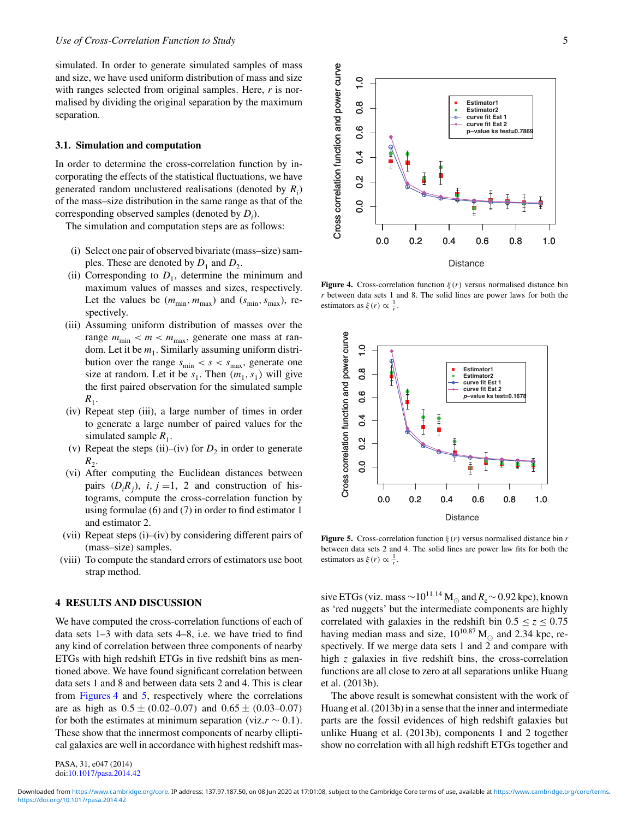<span id="page-4-0"></span>simulated. In order to generate simulated samples of mass and size, we have used uniform distribution of mass and size with ranges selected from original samples. Here, *r* is normalised by dividing the original separation by the maximum separation.

## **3.1. Simulation and computation**

In order to determine the cross-correlation function by incorporating the effects of the statistical fluctuations, we have generated random unclustered realisations (denoted by *Ri* ) of the mass–size distribution in the same range as that of the corresponding observed samples (denoted by  $D_i$ ).

The simulation and computation steps are as follows:

- (i) Select one pair of observed bivariate (mass–size) samples. These are denoted by  $D_1$  and  $D_2$ .
- (ii) Corresponding to  $D_1$ , determine the minimum and maximum values of masses and sizes, respectively. Let the values be  $(m_{\min}, m_{\max})$  and  $(s_{\min}, s_{\max})$ , respectively.
- (iii) Assuming uniform distribution of masses over the range  $m_{\text{min}} < m < m_{\text{max}}$ , generate one mass at random. Let it be  $m_1$ . Similarly assuming uniform distribution over the range  $s_{\text{min}} < s < s_{\text{max}}$ , generate one size at random. Let it be  $s_1$ . Then  $(m_1, s_1)$  will give the first paired observation for the simulated sample  $R_1$ .
- (iv) Repeat step (iii), a large number of times in order to generate a large number of paired values for the simulated sample  $R_1$ .
- (v) Repeat the steps (ii)–(iv) for  $D_2$  in order to generate  $R_2$ .
- (vi) After computing the Euclidean distances between pairs  $(D_i R_j)$ , *i*, *j* =1, 2 and construction of histograms, compute the cross-correlation function by using formulae (6) and (7) in order to find estimator 1 and estimator 2.
- (vii) Repeat steps (i)–(iv) by considering different pairs of (mass–size) samples.
- (viii) To compute the standard errors of estimators use boot strap method.

## **4 RESULTS AND DISCUSSION**

We have computed the cross-correlation functions of each of data sets 1–3 with data sets 4–8, i.e. we have tried to find any kind of correlation between three components of nearby ETGs with high redshift ETGs in five redshift bins as mentioned above. We have found significant correlation between data sets 1 and 8 and between data sets 2 and 4. This is clear from Figures 4 and 5, respectively where the correlations are as high as  $0.5 \pm (0.02{\text -}0.07)$  and  $0.65 \pm (0.03{\text -}0.07)$ for both the estimates at minimum separation (viz. $r \sim 0.1$ ). These show that the innermost components of nearby elliptical galaxies are well in accordance with highest redshift mas-

PASA, 31, e047 (2014) doi[:10.1017/pasa.2014.42](http://dx.doi.org/10.1017/pasa.2014.42)



**Figure 4.** Cross-correlation function  $\xi(r)$  versus normalised distance bin *r* between data sets 1 and 8. The solid lines are power laws for both the estimators as  $\xi(r) \propto \frac{1}{r}$ .



**Figure 5.** Cross-correlation function  $\xi(r)$  versus normalised distance bin *r* between data sets 2 and 4. The solid lines are power law fits for both the estimators as  $\xi(r) \propto \frac{1}{r}$ .

sive ETGs (viz. mass  $\sim$ 10<sup>11.14</sup> M<sub>☉</sub> and  $R_e$  ∼ 0.92 kpc), known as 'red nuggets' but the intermediate components are highly correlated with galaxies in the redshift bin  $0.5 \le z \le 0.75$ having median mass and size,  $10^{10.87}$  M<sub>o</sub> and 2.34 kpc, respectively. If we merge data sets 1 and  $\tilde{2}$  and compare with high *z* galaxies in five redshift bins, the cross-correlation functions are all close to zero at all separations unlike Huang et al. (2013b).

The above result is somewhat consistent with the work of Huang et al. (2013b) in a sense that the inner and intermediate parts are the fossil evidences of high redshift galaxies but unlike Huang et al. (2013b), components 1 and 2 together show no correlation with all high redshift ETGs together and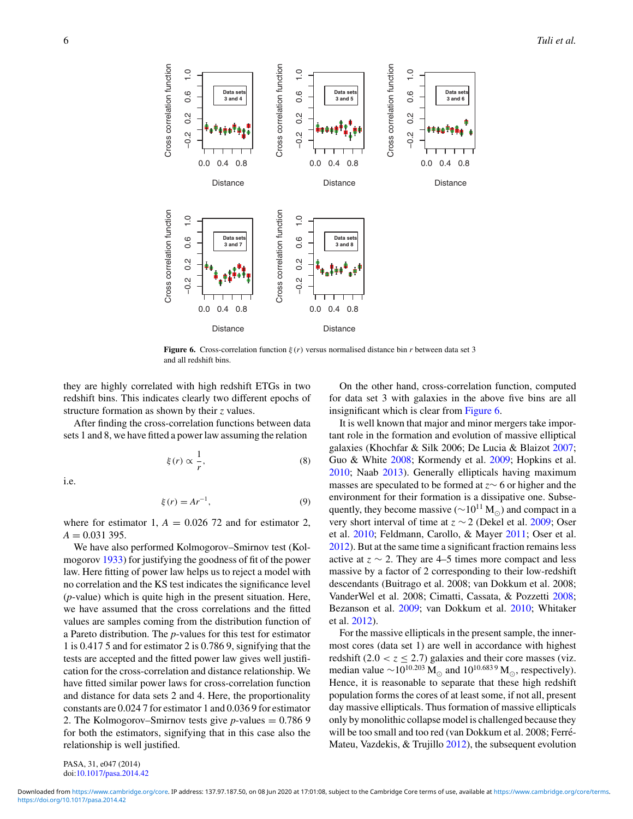

**Figure 6.** Cross-correlation function ξ (*r*) versus normalised distance bin *r* between data set 3 and all redshift bins.

they are highly correlated with high redshift ETGs in two redshift bins. This indicates clearly two different epochs of structure formation as shown by their *z* values.

After finding the cross-correlation functions between data sets 1 and 8, we have fitted a power law assuming the relation

$$
\xi(r) \propto \frac{1}{r},\tag{8}
$$

i.e.

$$
\xi(r) = Ar^{-1},\tag{9}
$$

where for estimator 1,  $A = 0.026$  72 and for estimator 2,  $A = 0.031395$ .

We have also performed Kolmogorov–Smirnov test (Kolmogorov [1933\)](#page-6-0) for justifying the goodness of fit of the power law. Here fitting of power law helps us to reject a model with no correlation and the KS test indicates the significance level (*p*-value) which is quite high in the present situation. Here, we have assumed that the cross correlations and the fitted values are samples coming from the distribution function of a Pareto distribution. The *p*-values for this test for estimator 1 is 0.417 5 and for estimator 2 is 0.786 9, signifying that the tests are accepted and the fitted power law gives well justification for the cross-correlation and distance relationship. We have fitted similar power laws for cross-correlation function and distance for data sets 2 and 4. Here, the proportionality constants are 0.024 7 for estimator 1 and 0.036 9 for estimator 2. The Kolmogorov–Smirnov tests give *p*-values = 0.786 9 for both the estimators, signifying that in this case also the relationship is well justified.

On the other hand, cross-correlation function, computed for data set 3 with galaxies in the above five bins are all insignificant which is clear from Figure 6.

It is well known that major and minor mergers take important role in the formation and evolution of massive elliptical galaxies (Khochfar & Silk 2006; De Lucia & Blaizot [2007;](#page-6-0) Guo & White [2008;](#page-6-0) Kormendy et al. [2009;](#page-6-0) Hopkins et al. [2010;](#page-6-0) Naab [2013\)](#page-7-0). Generally ellipticals having maximum masses are speculated to be formed at *z*∼ 6 or higher and the environment for their formation is a dissipative one. Subsequently, they become massive ( $\sim 10^{11}$  M<sub>∩</sub>) and compact in a very short interval of time at *z* ∼ 2 (Dekel et al. [2009;](#page-6-0) Oser et al. [2010;](#page-7-0) Feldmann, Carollo, & Mayer [2011;](#page-6-0) Oser et al. [2012\)](#page-7-0). But at the same time a significant fraction remains less active at  $z \sim 2$ . They are 4–5 times more compact and less massive by a factor of 2 corresponding to their low-redshift descendants (Buitrago et al. 2008; van Dokkum et al. 2008; VanderWel et al. 2008; Cimatti, Cassata, & Pozzetti [2008;](#page-6-0) Bezanson et al. [2009;](#page-6-0) van Dokkum et al. [2010;](#page-7-0) Whitaker et al. [2012\)](#page-7-0).

For the massive ellipticals in the present sample, the innermost cores (data set 1) are well in accordance with highest redshift  $(2.0 < z \le 2.7)$  galaxies and their core masses (viz. median value  $\sim$ 10<sup>10.203</sup> M<sub> $\odot$ </sub> and 10<sup>10.6839</sup> M<sub> $\odot$ </sub>, respectively). Hence, it is reasonable to separate that these high redshift population forms the cores of at least some, if not all, present day massive ellipticals. Thus formation of massive ellipticals only by monolithic collapse model is challenged because they will be too small and too red (van Dokkum et al. 2008; Ferré-Mateu, Vazdekis, & Trujillo [2012\)](#page-6-0), the subsequent evolution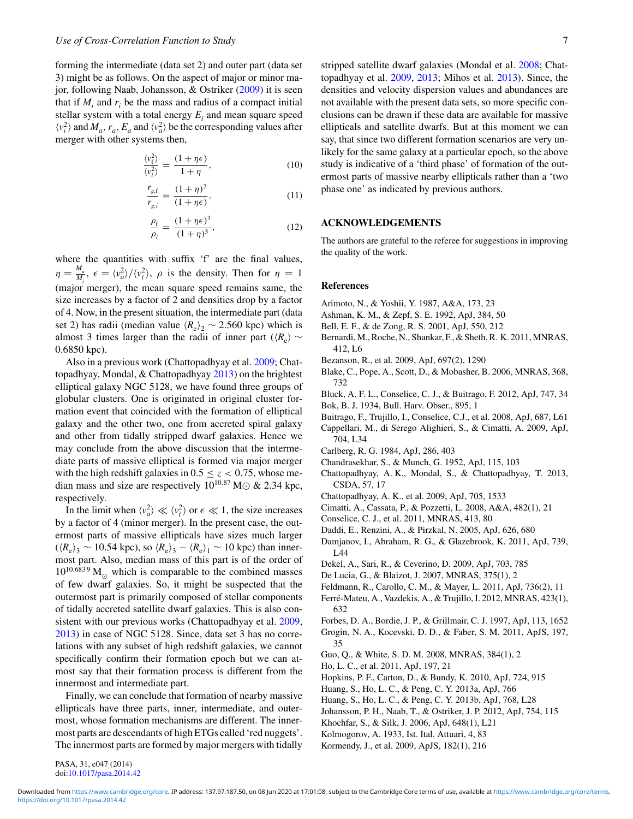<span id="page-6-0"></span>forming the intermediate (data set 2) and outer part (data set 3) might be as follows. On the aspect of major or minor major, following Naab, Johansson, & Ostriker [\(2009\)](#page-7-0) it is seen that if  $M_i$  and  $r_i$  be the mass and radius of a compact initial stellar system with a total energy  $E_i$  and mean square speed  $\langle v_i^2 \rangle$  and  $M_a$ ,  $r_a$ ,  $E_a$  and  $\langle v_a^2 \rangle$  be the corresponding values after merger with other systems then,

$$
\frac{\langle v_{\rm f}^2 \rangle}{\langle v_{\rm f}^2 \rangle} = \frac{(1 + \eta \epsilon)}{1 + \eta},\tag{10}
$$

$$
\frac{r_{g,\text{f}}}{r_{g,i}} = \frac{(1+\eta)^2}{(1+\eta\epsilon)},\tag{11}
$$

$$
\frac{\rho_{\rm f}}{\rho_i} = \frac{(1 + \eta \epsilon)^3}{(1 + \eta)^5},\tag{12}
$$

where the quantities with suffix 'f' are the final values,  $\eta = \frac{M_a}{M_i}$ ,  $\epsilon = \langle v_a^2 \rangle / \langle v_i^2 \rangle$ ,  $\rho$  is the density. Then for  $\eta = 1$ (major merger), the mean square speed remains same, the size increases by a factor of 2 and densities drop by a factor of 4. Now, in the present situation, the intermediate part (data set 2) has radii (median value  $\langle R_e \rangle_2 \sim 2.560$  kpc) which is almost 3 times larger than the radii of inner part ( $\langle R_e \rangle \sim$ 0.6850 kpc).

Also in a previous work (Chattopadhyay et al. 2009; Chattopadhyay, Mondal, & Chattopadhyay 2013) on the brightest elliptical galaxy NGC 5128, we have found three groups of globular clusters. One is originated in original cluster formation event that coincided with the formation of elliptical galaxy and the other two, one from accreted spiral galaxy and other from tidally stripped dwarf galaxies. Hence we may conclude from the above discussion that the intermediate parts of massive elliptical is formed via major merger with the high redshift galaxies in  $0.5 \le z < 0.75$ , whose median mass and size are respectively  $10^{10.87}$  M $\odot$  & 2.34 kpc, respectively.

In the limit when  $\langle v_a^2 \rangle \ll \langle v_i^2 \rangle$  or  $\epsilon \ll 1$ , the size increases by a factor of 4 (minor merger). In the present case, the outermost parts of massive ellipticals have sizes much larger  $(\langle R_e \rangle_3 \sim 10.54 \text{ kpc})$ , so  $\langle R_e \rangle_3 - \langle R_e \rangle_1 \sim 10 \text{ kpc}$ ) than innermost part. Also, median mass of this part is of the order of  $10^{10.6839}$  M<sub>o</sub> which is comparable to the combined masses of few dwarf galaxies. So, it might be suspected that the outermost part is primarily composed of stellar components of tidally accreted satellite dwarf galaxies. This is also consistent with our previous works (Chattopadhyay et al. 2009, 2013) in case of NGC 5128. Since, data set 3 has no correlations with any subset of high redshift galaxies, we cannot specifically confirm their formation epoch but we can atmost say that their formation process is different from the innermost and intermediate part.

Finally, we can conclude that formation of nearby massive ellipticals have three parts, inner, intermediate, and outermost, whose formation mechanisms are different. The innermost parts are descendants of high ETGs called 'red nuggets'. The innermost parts are formed by major mergers with tidally stripped satellite dwarf galaxies (Mondal et al. [2008;](#page-7-0) Chattopadhyay et al. 2009, 2013; Mihos et al. [2013\)](#page-7-0). Since, the densities and velocity dispersion values and abundances are not available with the present data sets, so more specific conclusions can be drawn if these data are available for massive ellipticals and satellite dwarfs. But at this moment we can say, that since two different formation scenarios are very unlikely for the same galaxy at a particular epoch, so the above study is indicative of a 'third phase' of formation of the outermost parts of massive nearby ellipticals rather than a 'two phase one' as indicated by previous authors.

# **ACKNOWLEDGEMENTS**

The authors are grateful to the referee for suggestions in improving the quality of the work.

#### **References**

- Arimoto, N., & Yoshii, Y. 1987, A&A, 173, 23
- Ashman, K. M., & Zepf, S. E. 1992, ApJ, 384, 50
- Bell, E. F., & de Zong, R. S. 2001, ApJ, 550, 212
- Bernardi, M., Roche, N., Shankar, F., & Sheth, R. K. 2011, MNRAS, 412, L6
- Bezanson, R., et al. 2009, ApJ, 697(2), 1290
- Blake, C., Pope, A., Scott, D., & Mobasher, B. 2006, MNRAS, 368, 732
- Bluck, A. F. L., Conselice, C. J., & Buitrago, F. 2012, ApJ, 747, 34
- Bok, B. J. 1934, Bull. Harv. Obser., 895, 1
- Buitrago, F., Trujillo, I., Conselice, C.J., et al. 2008, ApJ, 687, L61
- Cappellari, M., di Serego Alighieri, S., & Cimatti, A. 2009, ApJ, 704, L34
- Carlberg, R. G. 1984, ApJ, 286, 403
- Chandrasekhar, S., & Munch, G. 1952, ApJ, 115, 103
- Chattopadhyay, A. K., Mondal, S., & Chattopadhyay, T. 2013, CSDA, 57, 17
- Chattopadhyay, A. K., et al. 2009, ApJ, 705, 1533
- Cimatti, A., Cassata, P., & Pozzetti, L. 2008, A&A, 482(1), 21
- Conselice, C. J., et al. 2011, MNRAS, 413, 80
- Daddi, E., Renzini, A., & Pirzkal, N. 2005, ApJ, 626, 680
- Damjanov, I., Abraham, R. G., & Glazebrook, K. 2011, ApJ, 739, L44
- Dekel, A., Sari, R., & Ceverino, D. 2009, ApJ, 703, 785
- De Lucia, G., & Blaizot, J. 2007, MNRAS, 375(1), 2
- Feldmann, R., Carollo, C. M., & Mayer, L. 2011, ApJ, 736(2), 11
- Ferré-Mateu, A., Vazdekis, A., & Trujillo, I. 2012, MNRAS, 423(1), 632
- Forbes, D. A., Bordie, J. P., & Grillmair, C. J. 1997, ApJ, 113, 1652
- Grogin, N. A., Kocevski, D. D., & Faber, S. M. 2011, ApJS, 197, 35
- Guo, Q., & White, S. D. M. 2008, MNRAS, 384(1), 2
- Ho, L. C., et al. 2011, ApJ, 197, 21
- Hopkins, P. F., Carton, D., & Bundy, K. 2010, ApJ, 724, 915
- Huang, S., Ho, L. C., & Peng, C. Y. 2013a, ApJ, 766
- Huang, S., Ho, L. C., & Peng, C. Y. 2013b, ApJ, 768, L28
- Johansson, P. H., Naab, T., & Ostriker, J. P. 2012, ApJ, 754, 115
- Khochfar, S., & Silk, J. 2006, ApJ, 648(1), L21
- Kolmogorov, A. 1933, Ist. Ital. Attuari, 4, 83
- Kormendy, J., et al. 2009, ApJS, 182(1), 216